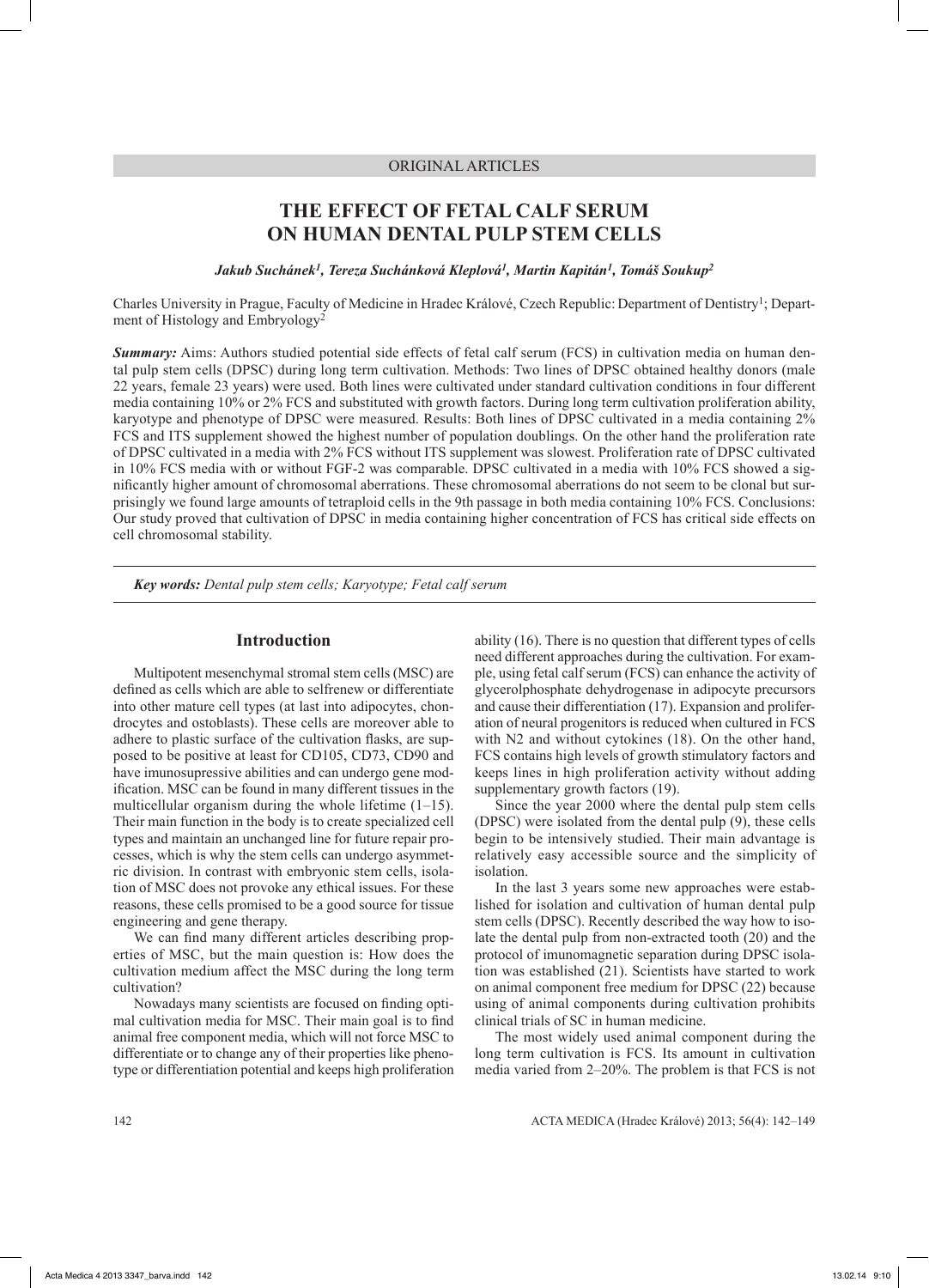# ORIGINAL ARTICLES

# **THE EFFECT OF FETAL CALF SERUM ON HUMAN DENTAL PULP STEM CELLS**

*Jakub Suchánek1, Tereza Suchánková Kleplová1, Martin Kapitán1, Tomáš Soukup2*

Charles University in Prague, Faculty of Medicine in Hradec Králové, Czech Republic: Department of Dentistry1; Department of Histology and Embryology2

*Summary:* Aims: Authors studied potential side effects of fetal calf serum (FCS) in cultivation media on human dental pulp stem cells (DPSC) during long term cultivation. Methods: Two lines of DPSC obtained healthy donors (male 22 years, female 23 years) were used. Both lines were cultivated under standard cultivation conditions in four different media containing 10% or 2% FCS and substituted with growth factors. During long term cultivation proliferation ability, karyotype and phenotype of DPSC were measured. Results: Both lines of DPSC cultivated in a media containing 2% FCS and ITS supplement showed the highest number of population doublings. On the other hand the proliferation rate of DPSC cultivated in a media with 2% FCS without ITS supplement was slowest. Proliferation rate of DPSC cultivated in 10% FCS media with or without FGF-2 was comparable. DPSC cultivated in a media with 10% FCS showed a significantly higher amount of chromosomal aberrations. These chromosomal aberrations do not seem to be clonal but surprisingly we found large amounts of tetraploid cells in the 9th passage in both media containing 10% FCS. Conclusions: Our study proved that cultivation of DPSC in media containing higher concentration of FCS has critical side effects on cell chromosomal stability.

*Key words: Dental pulp stem cells; Karyotype; Fetal calf serum*

# **Introduction**

Multipotent mesenchymal stromal stem cells (MSC) are defined as cells which are able to selfrenew or differentiate into other mature cell types (at last into adipocytes, chondrocytes and ostoblasts). These cells are moreover able to adhere to plastic surface of the cultivation flasks, are supposed to be positive at least for CD105, CD73, CD90 and have imunosupressive abilities and can undergo gene modification. MSC can be found in many different tissues in the multicellular organism during the whole lifetime  $(1-15)$ . Their main function in the body is to create specialized cell types and maintain an unchanged line for future repair processes, which is why the stem cells can undergo asymmetric division. In contrast with embryonic stem cells, isolation of MSC does not provoke any ethical issues. For these reasons, these cells promised to be a good source for tissue engineering and gene therapy.

We can find many different articles describing properties of MSC, but the main question is: How does the cultivation medium affect the MSC during the long term cultivation?

Nowadays many scientists are focused on finding optimal cultivation media for MSC. Their main goal is to find animal free component media, which will not force MSC to differentiate or to change any of their properties like phenotype or differentiation potential and keeps high proliferation ability (16). There is no question that different types of cells need different approaches during the cultivation. For example, using fetal calf serum (FCS) can enhance the activity of glycerolphosphate dehydrogenase in adipocyte precursors and cause their differentiation (17). Expansion and proliferation of neural progenitors is reduced when cultured in FCS with N2 and without cytokines (18). On the other hand, FCS contains high levels of growth stimulatory factors and keeps lines in high proliferation activity without adding supplementary growth factors (19).

Since the year 2000 where the dental pulp stem cells (DPSC) were isolated from the dental pulp (9), these cells begin to be intensively studied. Their main advantage is relatively easy accessible source and the simplicity of isolation.

In the last 3 years some new approaches were established for isolation and cultivation of human dental pulp stem cells (DPSC). Recently described the way how to isolate the dental pulp from non-extracted tooth (20) and the protocol of imunomagnetic separation during DPSC isolation was established (21). Scientists have started to work on animal component free medium for DPSC (22) because using of animal components during cultivation prohibits clinical trials of SC in human medicine.

The most widely used animal component during the long term cultivation is FCS. Its amount in cultivation media varied from 2–20%. The problem is that FCS is not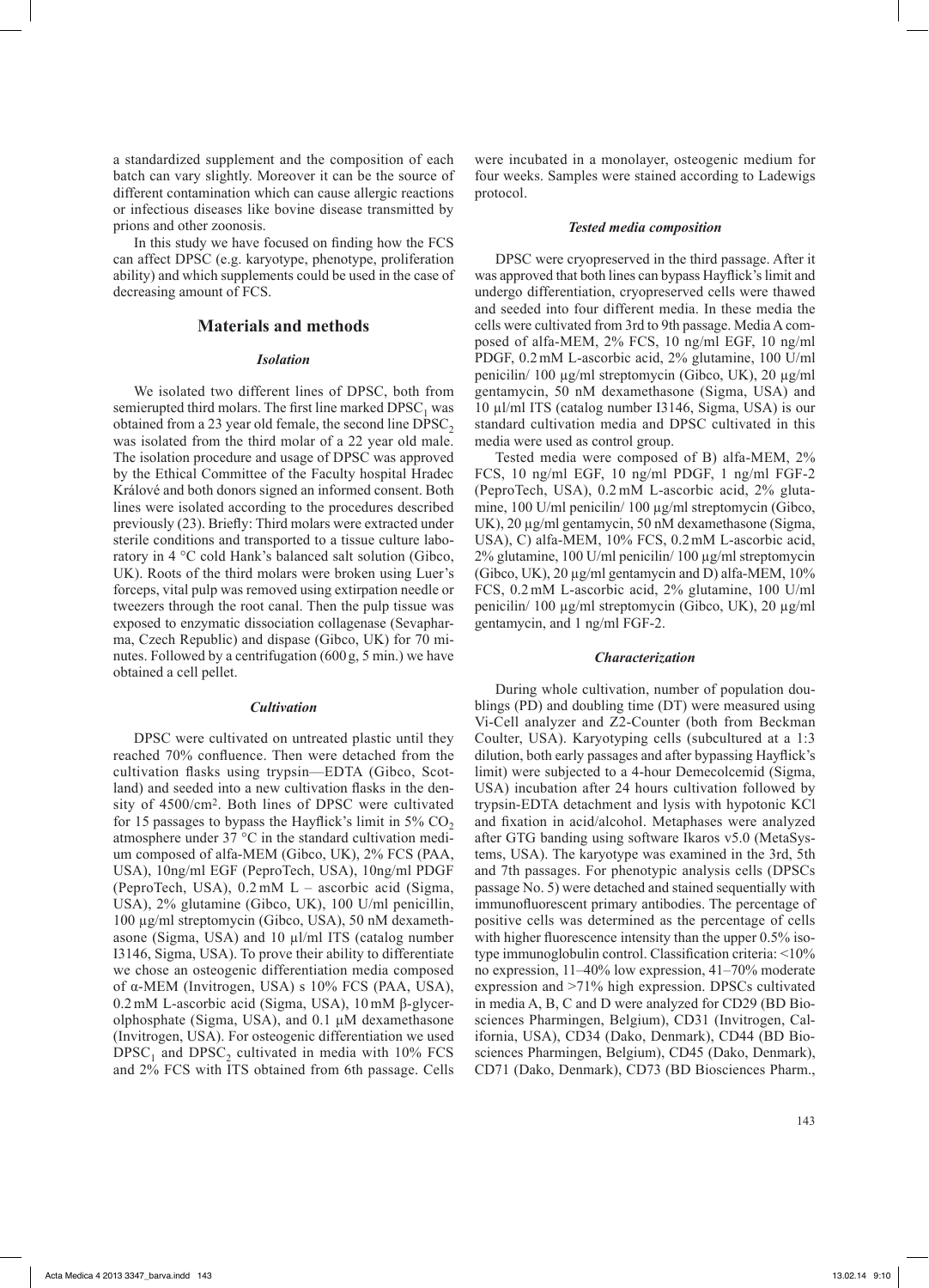a standardized supplement and the composition of each batch can vary slightly. Moreover it can be the source of different contamination which can cause allergic reactions or infectious diseases like bovine disease transmitted by prions and other zoonosis.

In this study we have focused on finding how the FCS can affect DPSC (e.g. karyotype, phenotype, proliferation ability) and which supplements could be used in the case of decreasing amount of FCS.

# **Materials and methods**

#### *Isolation*

We isolated two different lines of DPSC, both from semierupted third molars. The first line marked  $DPSC<sub>1</sub>$  was obtained from a 23 year old female, the second line  $DPSC<sub>2</sub>$ was isolated from the third molar of a 22 year old male. The isolation procedure and usage of DPSC was approved by the Ethical Committee of the Faculty hospital Hradec Králové and both donors signed an informed consent. Both lines were isolated according to the procedures described previously (23). Briefly: Third molars were extracted under sterile conditions and transported to a tissue culture laboratory in 4 °C cold Hank's balanced salt solution (Gibco, UK). Roots of the third molars were broken using Luer's forceps, vital pulp was removed using extirpation needle or tweezers through the root canal. Then the pulp tissue was exposed to enzymatic dissociation collagenase (Sevapharma, Czech Republic) and dispase (Gibco, UK) for 70 minutes. Followed by a centrifugation (600g, 5 min.) we have obtained a cell pellet.

#### *Cultivation*

DPSC were cultivated on untreated plastic until they reached 70% confluence. Then were detached from the cultivation flasks using trypsin—EDTA (Gibco, Scotland) and seeded into a new cultivation flasks in the density of 4500/cm2. Both lines of DPSC were cultivated for 15 passages to bypass the Hayflick's limit in  $5\%$  CO<sub>2</sub> atmosphere under 37 °C in the standard cultivation medium composed of alfa-MEM (Gibco, UK), 2% FCS (PAA, USA), 10ng/ml EGF (PeproTech, USA), 10ng/ml PDGF (PeproTech, USA), 0.2 mM L – ascorbic acid (Sigma, USA), 2% glutamine (Gibco, UK), 100 U/ml penicillin, 100 µg/ml streptomycin (Gibco, USA), 50 nM dexamethasone (Sigma, USA) and 10 µl/ml ITS (catalog number I3146, Sigma, USA). To prove their ability to differentiate we chose an osteogenic differentiation media composed of α-MEM (Invitrogen, USA) s 10% FCS (PAA, USA), 0.2mM L-ascorbic acid (Sigma, USA), 10mM β-glycerolphosphate (Sigma, USA), and 0.1 μM dexamethasone (Invitrogen, USA). For osteogenic differentiation we used  $DPSC<sub>1</sub>$  and  $DPSC<sub>2</sub>$  cultivated in media with 10% FCS and 2% FCS with ITS obtained from 6th passage. Cells

were incubated in a monolayer, osteogenic medium for four weeks. Samples were stained according to Ladewigs protocol.

#### *Tested media composition*

DPSC were cryopreserved in the third passage. After it was approved that both lines can bypass Hayflick's limit and undergo differentiation, cryopreserved cells were thawed and seeded into four different media. In these media the cells were cultivated from 3rd to 9th passage. Media A composed of alfa-MEM, 2% FCS, 10 ng/ml EGF, 10 ng/ml PDGF, 0.2mM L-ascorbic acid, 2% glutamine, 100 U/ml penicilin/ 100 µg/ml streptomycin (Gibco, UK), 20 µg/ml gentamycin, 50 nM dexamethasone (Sigma, USA) and 10 µl/ml ITS (catalog number I3146, Sigma, USA) is our standard cultivation media and DPSC cultivated in this media were used as control group.

Tested media were composed of B) alfa-MEM, 2% FCS, 10 ng/ml EGF, 10 ng/ml PDGF, 1 ng/ml FGF-2 (PeproTech, USA), 0.2 mM L-ascorbic acid, 2% glutamine, 100 U/ml penicilin/ 100 µg/ml streptomycin (Gibco, UK), 20 µg/ml gentamycin, 50 nM dexamethasone (Sigma, USA), C) alfa-MEM, 10% FCS, 0.2mM L-ascorbic acid, 2% glutamine, 100 U/ml penicilin/ 100 µg/ml streptomycin (Gibco, UK),  $20 \mu g/ml$  gentamycin and D) alfa-MEM,  $10\%$ FCS, 0.2mM L-ascorbic acid, 2% glutamine, 100 U/ml penicilin/ 100 µg/ml streptomycin (Gibco, UK), 20 µg/ml gentamycin, and 1 ng/ml FGF-2.

#### *Characterization*

During whole cultivation, number of population doublings (PD) and doubling time (DT) were measured using Vi-Cell analyzer and Z2-Counter (both from Beckman Coulter, USA). Karyotyping cells (subcultured at a 1:3 dilution, both early passages and after bypassing Hayflick's limit) were subjected to a 4-hour Demecolcemid (Sigma, USA) incubation after 24 hours cultivation followed by trypsin-EDTA detachment and lysis with hypotonic KCl and fixation in acid/alcohol. Metaphases were analyzed after GTG banding using software Ikaros v5.0 (MetaSystems, USA). The karyotype was examined in the 3rd, 5th and 7th passages. For phenotypic analysis cells (DPSCs passage No. 5) were detached and stained sequentially with immunofluorescent primary antibodies. The percentage of positive cells was determined as the percentage of cells with higher fluorescence intensity than the upper 0.5% isotype immunoglobulin control. Classification criteria: <10% no expression, 11–40% low expression, 41–70% moderate expression and >71% high expression. DPSCs cultivated in media A, B, C and D were analyzed for CD29 (BD Biosciences Pharmingen, Belgium), CD31 (Invitrogen, California, USA), CD34 (Dako, Denmark), CD44 (BD Biosciences Pharmingen, Belgium), CD45 (Dako, Denmark), CD71 (Dako, Denmark), CD73 (BD Biosciences Pharm.,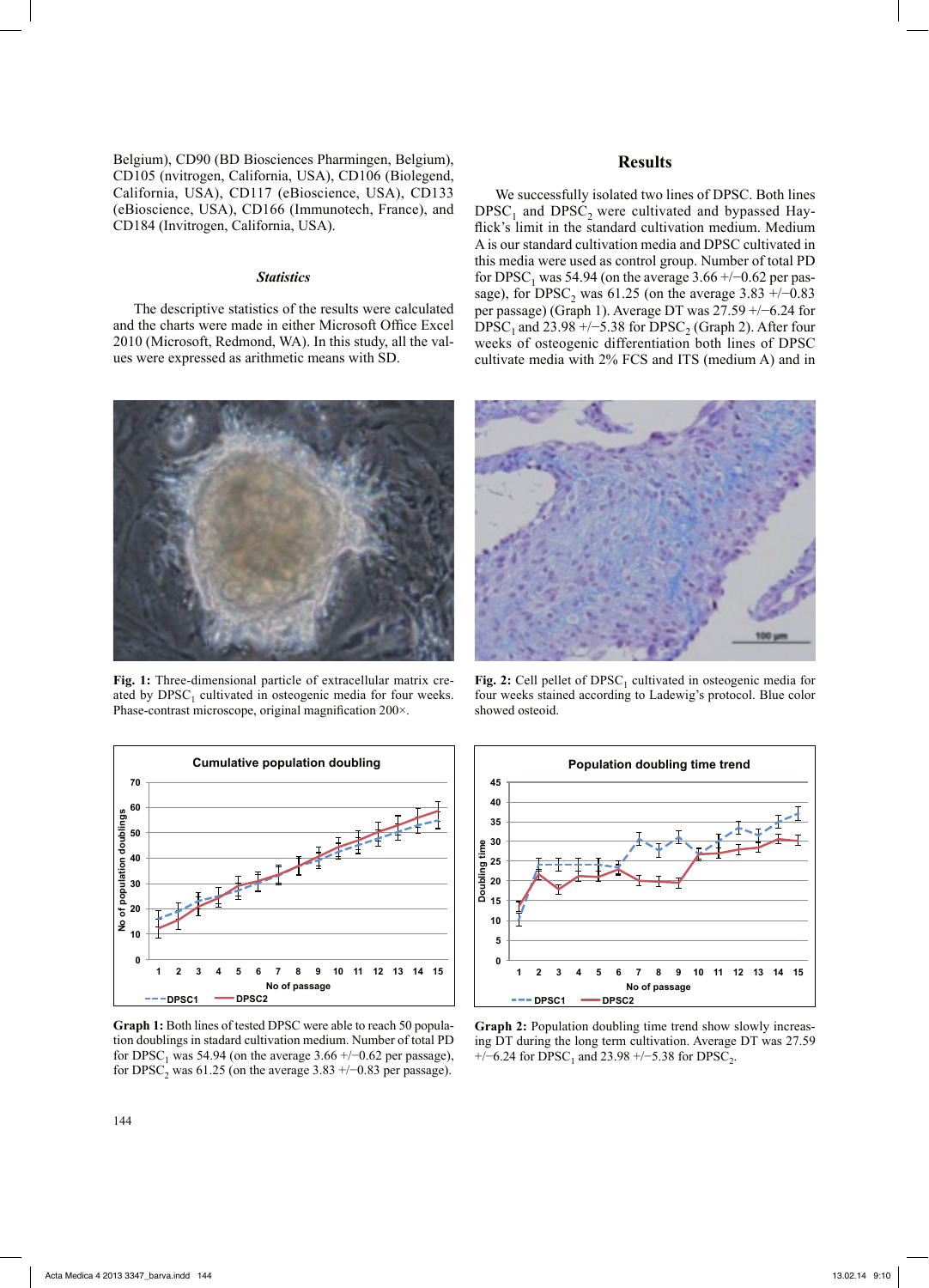Belgium), CD90 (BD Biosciences Pharmingen, Belgium), CD105 (nvitrogen, California, USA), CD106 (Biolegend, California, USA), CD117 (eBioscience, USA), CD133 (eBioscience, USA), CD166 (Immunotech, France), and CD184 (Invitrogen, California, USA).

### *Statistics*

The descriptive statistics of the results were calculated and the charts were made in either Microsoft Office Excel 2010 (Microsoft, Redmond, WA). In this study, all the values were expressed as arithmetic means with SD.



We successfully isolated two lines of DPSC. Both lines  $DPSC<sub>1</sub>$  and  $DPSC<sub>2</sub>$  were cultivated and bypassed Hayflick's limit in the standard cultivation medium. Medium A is our standard cultivation media and DPSC cultivated in this media were used as control group. Number of total PD for DPSC<sub>1</sub> was 54.94 (on the average 3.66 +/−0.62 per passage), for DPSC<sub>2</sub> was 61.25 (on the average  $3.83 +/0.83$ per passage) (Graph 1). Average DT was 27.59 +/−6.24 for DPSC<sub>1</sub> and 23.98 +/−5.38 for DPSC<sub>2</sub> (Graph 2). After four weeks of osteogenic differentiation both lines of DPSC cultivate media with 2% FCS and ITS (medium A) and in



**Fig. 1:** Three-dimensional particle of extracellular matrix created by  $DPSC<sub>1</sub>$  cultivated in osteogenic media for four weeks. Phase-contrast microscope, original magnification 200×.



**Graph 1:** Both lines of tested DPSC were able to reach 50 population doublings in stadard cultivation medium. Number of total PD for DPSC<sub>1</sub> was 54.94 (on the average 3.66 +/−0.62 per passage), for DPSC<sub>2</sub> was 61.25 (on the average 3.83 +/−0.83 per passage).



**Fig. 2:** Cell pellet of DPSC<sub>1</sub> cultivated in osteogenic media for four weeks stained according to Ladewig's protocol. Blue color showed osteoid.



**Graph 2:** Population doubling time trend show slowly increasing DT during the long term cultivation. Average DT was 27.59 +/−6.24 for DPSC<sub>1</sub> and 23.98 +/−5.38 for DPSC<sub>2</sub>.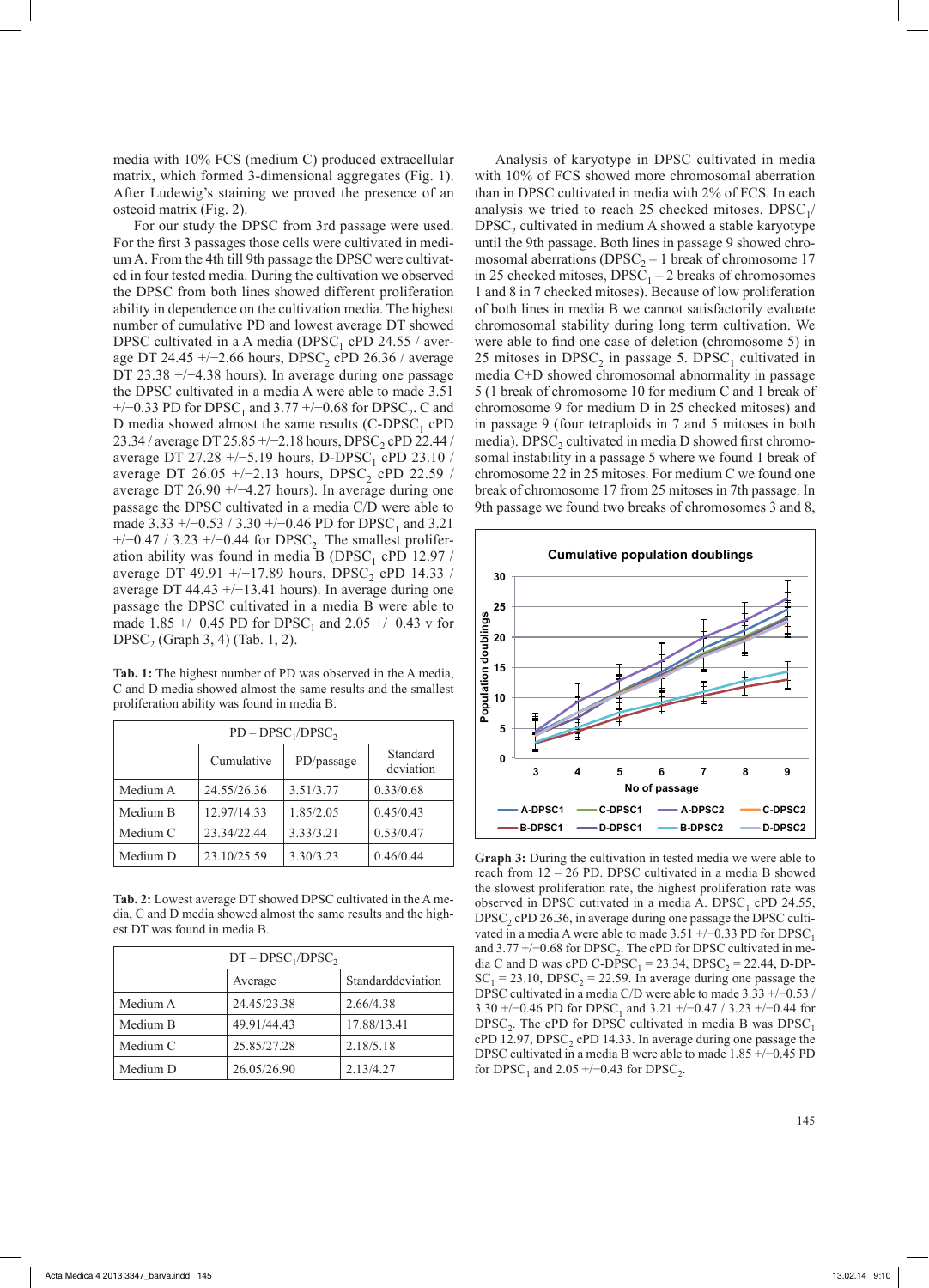media with 10% FCS (medium C) produced extracellular matrix, which formed 3-dimensional aggregates (Fig. 1). After Ludewig's staining we proved the presence of an osteoid matrix (Fig. 2).

For our study the DPSC from 3rd passage were used. For the first 3 passages those cells were cultivated in medium A. From the 4th till 9th passage the DPSC were cultivated in four tested media. During the cultivation we observed the DPSC from both lines showed different proliferation ability in dependence on the cultivation media. The highest number of cumulative PD and lowest average DT showed DPSC cultivated in a A media (DPSC<sub>1</sub> cPD 24.55 / average DT 24.45 +/-2.66 hours, DPSC<sub>2</sub> cPD 26.36 / average DT 23.38 +/−4.38 hours). In average during one passage the DPSC cultivated in a media A were able to made 3.51  $+/-0.33$  PD for DPSC<sub>1</sub> and 3.77  $+/-0.68$  for DPSC<sub>2</sub>. C and D media showed almost the same results  $(C-DPSC<sub>1</sub>$  cPD 23.34 / average DT 25.85 +/−2.18 hours, DPSC<sub>2</sub> cPD 22.44 / average DT 27.28 +/-5.19 hours, D-DPSC<sub>1</sub> cPD 23.10 / average DT 26.05 +/-2.13 hours, DPSC<sub>2</sub> cPD 22.59 / average DT 26.90 +/−4.27 hours). In average during one passage the DPSC cultivated in a media C/D were able to made  $3.33 + (-0.53 / 3.30 + (-0.46 \text{ PD} \text{ for } \text{DPSC}_1 \text{ and } 3.21)$  $+/-0.47 / 3.23 +/-0.44$  for DPSC<sub>2</sub>. The smallest proliferation ability was found in media B (DPSC<sub>1</sub> cPD 12.97 / average DT 49.91 +/-17.89 hours, DPSC<sub>2</sub> cPD 14.33 / average DT 44.43 +/−13.41 hours). In average during one passage the DPSC cultivated in a media B were able to made 1.85 +/−0.45 PD for DPSC<sub>1</sub> and 2.05 +/−0.43 v for DPSC<sub>2</sub> (Graph 3, 4) (Tab. 1, 2).

**Tab. 1:** The highest number of PD was observed in the A media, C and D media showed almost the same results and the smallest proliferation ability was found in media B.

| $PD - DPSC_1/DPSC_2$ |             |            |                       |  |  |
|----------------------|-------------|------------|-----------------------|--|--|
|                      | Cumulative  | PD/passage | Standard<br>deviation |  |  |
| Medium A             | 24.55/26.36 | 3.51/3.77  | 0.33/0.68             |  |  |
| Medium B             | 12.97/14.33 | 1.85/2.05  | 0.45/0.43             |  |  |
| Medium C             | 23.34/22.44 | 3.33/3.21  | 0.53/0.47             |  |  |
| Medium D             | 23.10/25.59 | 3.30/3.23  | 0.46/0.44             |  |  |

**Tab. 2:** Lowest average DT showed DPSC cultivated in the A media, C and D media showed almost the same results and the highest DT was found in media B.

| $DT - DPSC_1 / DPSC_2$ |                              |             |  |
|------------------------|------------------------------|-------------|--|
|                        | Standarddeviation<br>Average |             |  |
| Medium A               | 24.45/23.38                  | 2.66/4.38   |  |
| Medium B               | 49.91/44.43                  | 17.88/13.41 |  |
| Medium C               | 25.85/27.28                  | 2.18/5.18   |  |
| Medium D               | 26.05/26.90                  | 2.13/4.27   |  |

Analysis of karyotype in DPSC cultivated in media with 10% of FCS showed more chromosomal aberration than in DPSC cultivated in media with 2% of FCS. In each analysis we tried to reach 25 checked mitoses. DPSC $_1$ /  $DPSC<sub>2</sub>$  cultivated in medium A showed a stable karyotype until the 9th passage. Both lines in passage 9 showed chromosomal aberrations ( $DPSC_2 - 1$  break of chromosome 17 in 25 checked mitoses,  $DPSC<sub>1</sub> - 2$  breaks of chromosomes 1 and 8 in 7 checked mitoses). Because of low proliferation of both lines in media B we cannot satisfactorily evaluate chromosomal stability during long term cultivation. We were able to find one case of deletion (chromosome 5) in 25 mitoses in  $DPSC<sub>2</sub>$  in passage 5.  $DPSC<sub>1</sub>$  cultivated in media C+D showed chromosomal abnormality in passage 5 (1 break of chromosome 10 for medium C and 1 break of chromosome 9 for medium D in 25 checked mitoses) and in passage 9 (four tetraploids in 7 and 5 mitoses in both media). DPSC<sub>2</sub> cultivated in media D showed first chromosomal instability in a passage 5 where we found 1 break of chromosome 22 in 25 mitoses. For medium C we found one break of chromosome 17 from 25 mitoses in 7th passage. In 9th passage we found two breaks of chromosomes 3 and 8,



**Graph 3:** During the cultivation in tested media we were able to reach from 12 – 26 PD. DPSC cultivated in a media B showed the slowest proliferation rate, the highest proliferation rate was observed in DPSC cutivated in a media A. DPSC<sub>1</sub> cPD 24.55,  $DPSC<sub>2</sub>$  cPD 26.36, in average during one passage the DPSC cultivated in a media A were able to made  $3.51 +/-0.33$  PD for DPSC<sub>1</sub> and  $3.77 +/-0.68$  for DPSC<sub>2</sub>. The cPD for DPSC cultivated in media C and D was cPD C-DPSC<sub>1</sub> = 23.34, DPSC<sub>2</sub> = 22.44, D-DP- $SC_1 = 23.10$ , DPSC<sub>2</sub> = 22.59. In average during one passage the DPSC cultivated in a media C/D were able to made 3.33 +/−0.53 / 3.30 +/−0.46 PD for DPSC<sub>1</sub> and 3.21 +/−0.47 / 3.23 +/−0.44 for  $DPSC<sub>2</sub>$ . The cPD for DPSC cultivated in media B was  $DPSC<sub>1</sub>$ cPD 12.97,  $DPSC<sub>2</sub>$  cPD 14.33. In average during one passage the DPSC cultivated in a media B were able to made 1.85 +/−0.45 PD for DPSC<sub>1</sub> and 2.05 +/−0.43 for DPSC<sub>2</sub>.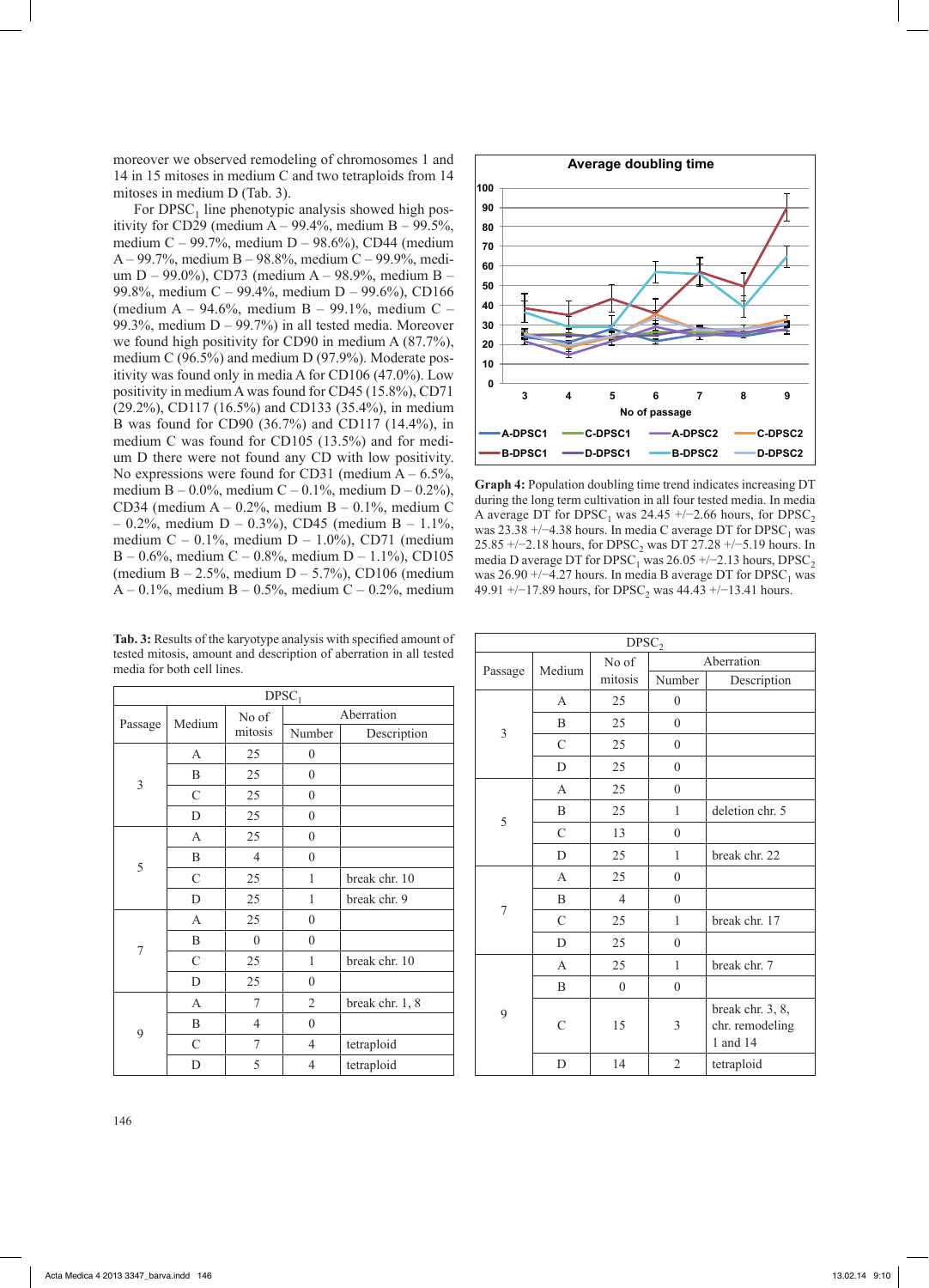moreover we observed remodeling of chromosomes 1 and 14 in 15 mitoses in medium C and two tetraploids from 14 mitoses in medium D (Tab. 3).

For  $DPSC<sub>1</sub>$  line phenotypic analysis showed high positivity for CD29 (medium  $A - 99.4\%$ , medium  $B - 99.5\%$ , medium C – 99.7%, medium D – 98.6%), CD44 (medium A – 99.7%, medium B – 98.8%, medium C – 99.9%, medium D – 99.0%), CD73 (medium A – 98.9%, medium B – 99.8%, medium C – 99.4%, medium D – 99.6%), CD166 (medium A – 94.6%, medium B – 99.1%, medium C – 99.3%, medium  $D - 99.7%$  in all tested media. Moreover we found high positivity for CD90 in medium A (87.7%), medium C (96.5%) and medium D (97.9%). Moderate positivity was found only in media A for CD106 (47.0%). Low positivity in medium A was found for CD45 (15.8%), CD71 (29.2%), CD117 (16.5%) and CD133 (35.4%), in medium B was found for CD90 (36.7%) and CD117 (14.4%), in medium C was found for CD105 (13.5%) and for medium D there were not found any CD with low positivity. No expressions were found for CD31 (medium  $A - 6.5\%$ , medium B – 0.0%, medium C – 0.1%, medium D – 0.2%), CD34 (medium  $A - 0.2\%$ , medium  $B - 0.1\%$ , medium C  $- 0.2\%$ , medium D – 0.3%), CD45 (medium B – 1.1%, medium C – 0.1%, medium D – 1.0%), CD71 (medium B – 0.6%, medium C – 0.8%, medium D – 1.1%), CD105 (medium  $B - 2.5\%$ , medium  $D - 5.7\%$ ), CD106 (medium A – 0.1%, medium B – 0.5%, medium C – 0.2%, medium

**Tab. 3:** Results of the karyotype analysis with specified amount of tested mitosis, amount and description of aberration in all tested media for both cell lines.

| DPSC <sub>1</sub> |                |                  |                  |                 |  |
|-------------------|----------------|------------------|------------------|-----------------|--|
| Passage           | Medium         | No of            | Aberration       |                 |  |
|                   |                | mitosis          | Number           | Description     |  |
|                   | A              | 25               | $\boldsymbol{0}$ |                 |  |
| $\mathfrak{Z}$    | B              | 25               | $\overline{0}$   |                 |  |
|                   | C              | 25               | $\overline{0}$   |                 |  |
|                   | D              | 25               | $\overline{0}$   |                 |  |
| 5                 | A              | 25               | $\overline{0}$   |                 |  |
|                   | B              | $\overline{4}$   | $\overline{0}$   |                 |  |
|                   | C              | 25               | 1                | break chr. 10   |  |
|                   | D              | 25               | 1                | break chr. 9    |  |
| $\boldsymbol{7}$  | A              | 25               | $\boldsymbol{0}$ |                 |  |
|                   | B              | $\boldsymbol{0}$ | $\overline{0}$   |                 |  |
|                   | $\overline{C}$ | 25               | 1                | break chr. 10   |  |
|                   | D              | 25               | $\overline{0}$   |                 |  |
| 9                 | A              | 7                | $\overline{2}$   | break chr. 1, 8 |  |
|                   | B              | $\overline{4}$   | $\boldsymbol{0}$ |                 |  |
|                   | $\mathcal{C}$  | 7                | $\overline{4}$   | tetraploid      |  |
|                   | D              | 5                | 4                | tetraploid      |  |



**Graph 4:** Population doubling time trend indicates increasing DT during the long term cultivation in all four tested media. In media A average DT for DPSC<sub>1</sub> was 24.45 +/−2.66 hours, for DPSC<sub>2</sub> was 23.38 +/−4.38 hours. In media C average DT for DPSC<sub>1</sub> was 25.85 +/−2.18 hours, for DPSC<sub>2</sub> was DT 27.28 +/−5.19 hours. In media D average DT for  $DPSC_1$  was 26.05 +/−2.13 hours, DPSC<sub>2</sub> was 26.90 +/−4.27 hours. In media B average DT for DPSC<sub>1</sub> was 49.91 +/−17.89 hours, for DPSC<sub>2</sub> was 44.43 +/−13.41 hours.

| DPSC <sub>2</sub> |               |                |                |                                                 |  |
|-------------------|---------------|----------------|----------------|-------------------------------------------------|--|
| Passage           | Medium        | No of          | Aberration     |                                                 |  |
|                   |               | mitosis        | Number         | Description                                     |  |
|                   | $\mathsf{A}$  | 25             | $\overline{0}$ |                                                 |  |
|                   | B             | 25             | $\mathbf{0}$   |                                                 |  |
| $\overline{3}$    | $\mathcal{C}$ | 25             | $\mathbf{0}$   |                                                 |  |
|                   | D             | 25             | $\overline{0}$ |                                                 |  |
|                   | $\mathbf{A}$  | 25             | $\mathbf{0}$   |                                                 |  |
|                   | B             | 25             | 1              | deletion chr. 5                                 |  |
|                   | $\mathcal{C}$ | 13             | $\overline{0}$ |                                                 |  |
|                   | D             | 25             | $\mathbf{1}$   | break chr. 22                                   |  |
| 5<br>7<br>9       | $\mathsf{A}$  | 25             | $\overline{0}$ |                                                 |  |
|                   | B             | $\overline{4}$ | $\overline{0}$ |                                                 |  |
|                   | $\mathcal{C}$ | 25             | 1              | break chr. 17                                   |  |
|                   | D             | 25             | $\overline{0}$ |                                                 |  |
|                   | $\mathbf{A}$  | 25             | 1              | break chr. 7                                    |  |
|                   | B             | $\overline{0}$ | $\overline{0}$ |                                                 |  |
|                   | C             | 15             | 3              | break chr. 3, 8,<br>chr. remodeling<br>1 and 14 |  |
|                   | D             | 14             | $\overline{2}$ | tetraploid                                      |  |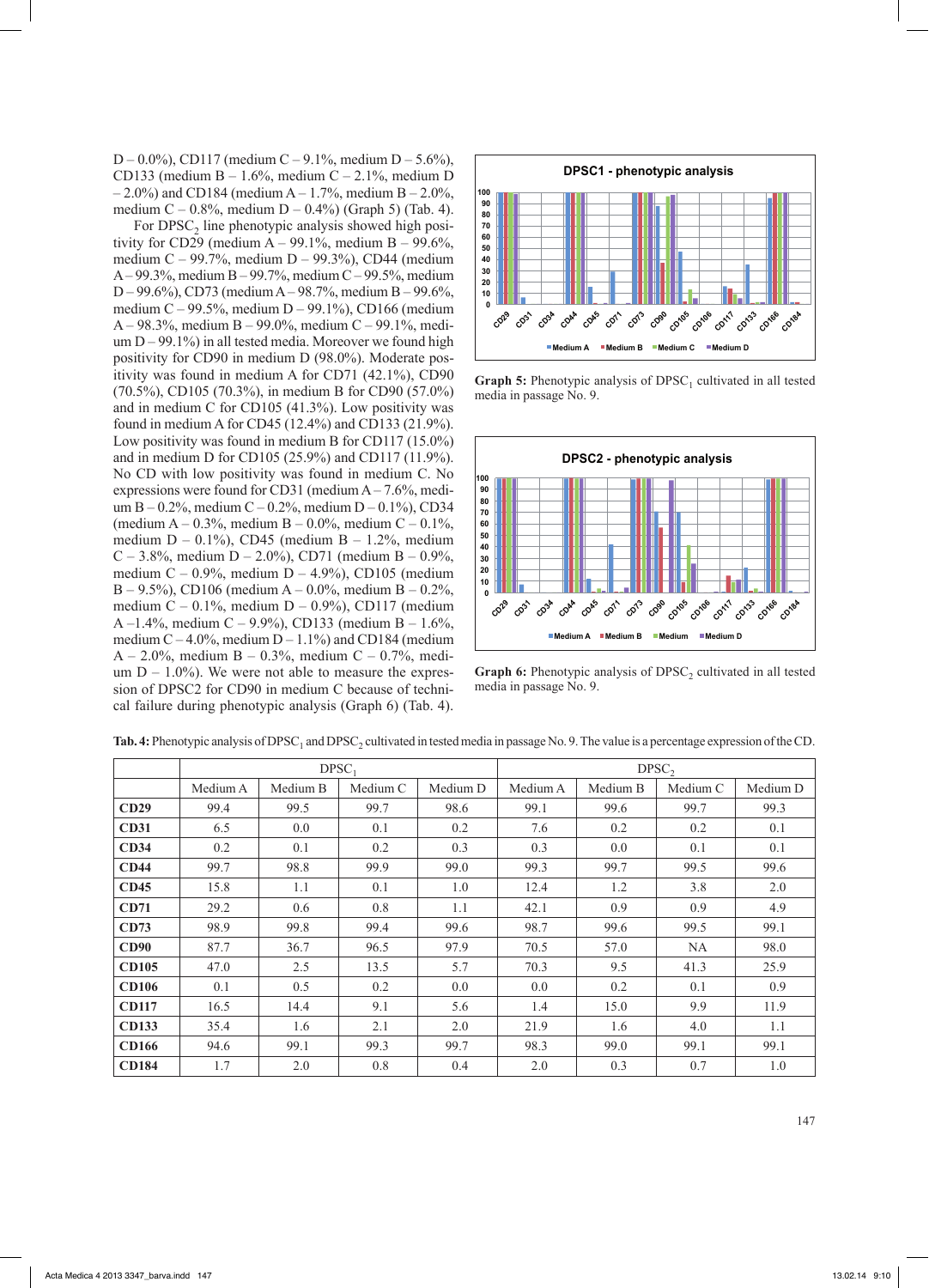D – 0.0%), CD117 (medium C – 9.1%, medium D – 5.6%), CD133 (medium B – 1.6%, medium C – 2.1%, medium D  $-2.0\%$ ) and CD184 (medium A – 1.7%, medium B – 2.0%, medium  $C - 0.8\%$ , medium  $D - 0.4\%$ ) (Graph 5) (Tab. 4).

For  $DPSC<sub>2</sub>$  line phenotypic analysis showed high positivity for CD29 (medium  $A - 99.1\%$ , medium  $B - 99.6\%$ , medium C – 99.7%, medium D – 99.3%), CD44 (medium A– 99.3%, medium B – 99.7%, medium C – 99.5%, medium D – 99.6%), CD73 (medium A– 98.7%, medium B – 99.6%, medium C – 99.5%, medium D – 99.1%), CD166 (medium A – 98.3%, medium B – 99.0%, medium C – 99.1%, medium  $D - 99.1\%$ ) in all tested media. Moreover we found high positivity for CD90 in medium D (98.0%). Moderate positivity was found in medium A for CD71 (42.1%), CD90 (70.5%), CD105 (70.3%), in medium B for CD90 (57.0%) and in medium C for CD105 (41.3%). Low positivity was found in medium A for CD45 (12.4%) and CD133 (21.9%). Low positivity was found in medium B for CD117 (15.0%) and in medium D for CD105 (25.9%) and CD117 (11.9%). No CD with low positivity was found in medium C. No expressions were found for CD31 (medium  $A - 7.6\%$ , medium B – 0.2%, medium C – 0.2%, medium D – 0.1%), CD34 (medium  $A - 0.3\%$ , medium  $B - 0.0\%$ , medium  $C - 0.1\%$ , medium  $D - 0.1\%$ ), CD45 (medium  $B - 1.2\%$ , medium C – 3.8%, medium D – 2.0%), CD71 (medium B – 0.9%, medium C – 0.9%, medium D – 4.9%), CD105 (medium B – 9.5%), CD106 (medium A – 0.0%, medium B – 0.2%, medium  $C - 0.1\%$ , medium  $D - 0.9\%$ ), CD117 (medium A –1.4%, medium C – 9.9%), CD133 (medium B – 1.6%, medium  $C - 4.0\%$ , medium  $D - 1.1\%$ ) and CD184 (medium A – 2.0%, medium B – 0.3%, medium C – 0.7%, medium  $D - 1.0\%$ ). We were not able to measure the expression of DPSC2 for CD90 in medium C because of technical failure during phenotypic analysis (Graph 6) (Tab. 4).



**Graph 5:** Phenotypic analysis of DPSC<sub>1</sub> cultivated in all tested media in passage No. 9.



**Graph 6:** Phenotypic analysis of DPSC<sub>2</sub> cultivated in all tested media in passage No. 9.

|              | $DPSC_1$ |          |          |          | DPSC     |          |          |          |
|--------------|----------|----------|----------|----------|----------|----------|----------|----------|
|              | Medium A | Medium B | Medium C | Medium D | Medium A | Medium B | Medium C | Medium D |
| CD29         | 99.4     | 99.5     | 99.7     | 98.6     | 99.1     | 99.6     | 99.7     | 99.3     |
| <b>CD31</b>  | 6.5      | 0.0      | 0.1      | 0.2      | 7.6      | 0.2      | 0.2      | 0.1      |
| CD34         | 0.2      | 0.1      | 0.2      | 0.3      | 0.3      | 0.0      | 0.1      | 0.1      |
| CD44         | 99.7     | 98.8     | 99.9     | 99.0     | 99.3     | 99.7     | 99.5     | 99.6     |
| CD45         | 15.8     | 1.1      | 0.1      | 1.0      | 12.4     | 1.2      | 3.8      | 2.0      |
| CD71         | 29.2     | 0.6      | 0.8      | 1.1      | 42.1     | 0.9      | 0.9      | 4.9      |
| CD73         | 98.9     | 99.8     | 99.4     | 99.6     | 98.7     | 99.6     | 99.5     | 99.1     |
| CD90         | 87.7     | 36.7     | 96.5     | 97.9     | 70.5     | 57.0     | NA       | 98.0     |
| <b>CD105</b> | 47.0     | 2.5      | 13.5     | 5.7      | 70.3     | 9.5      | 41.3     | 25.9     |
| <b>CD106</b> | 0.1      | 0.5      | 0.2      | 0.0      | 0.0      | 0.2      | 0.1      | 0.9      |
| <b>CD117</b> | 16.5     | 14.4     | 9.1      | 5.6      | 1.4      | 15.0     | 9.9      | 11.9     |
| <b>CD133</b> | 35.4     | 1.6      | 2.1      | 2.0      | 21.9     | 1.6      | 4.0      | 1.1      |
| <b>CD166</b> | 94.6     | 99.1     | 99.3     | 99.7     | 98.3     | 99.0     | 99.1     | 99.1     |
| <b>CD184</b> | 1.7      | 2.0      | 0.8      | 0.4      | 2.0      | 0.3      | 0.7      | 1.0      |

**Tab. 4:** Phenotypic analysis of DPSC<sub>1</sub> and DPSC<sub>2</sub> cultivated in tested media in passage No. 9. The value is a percentage expression of the CD.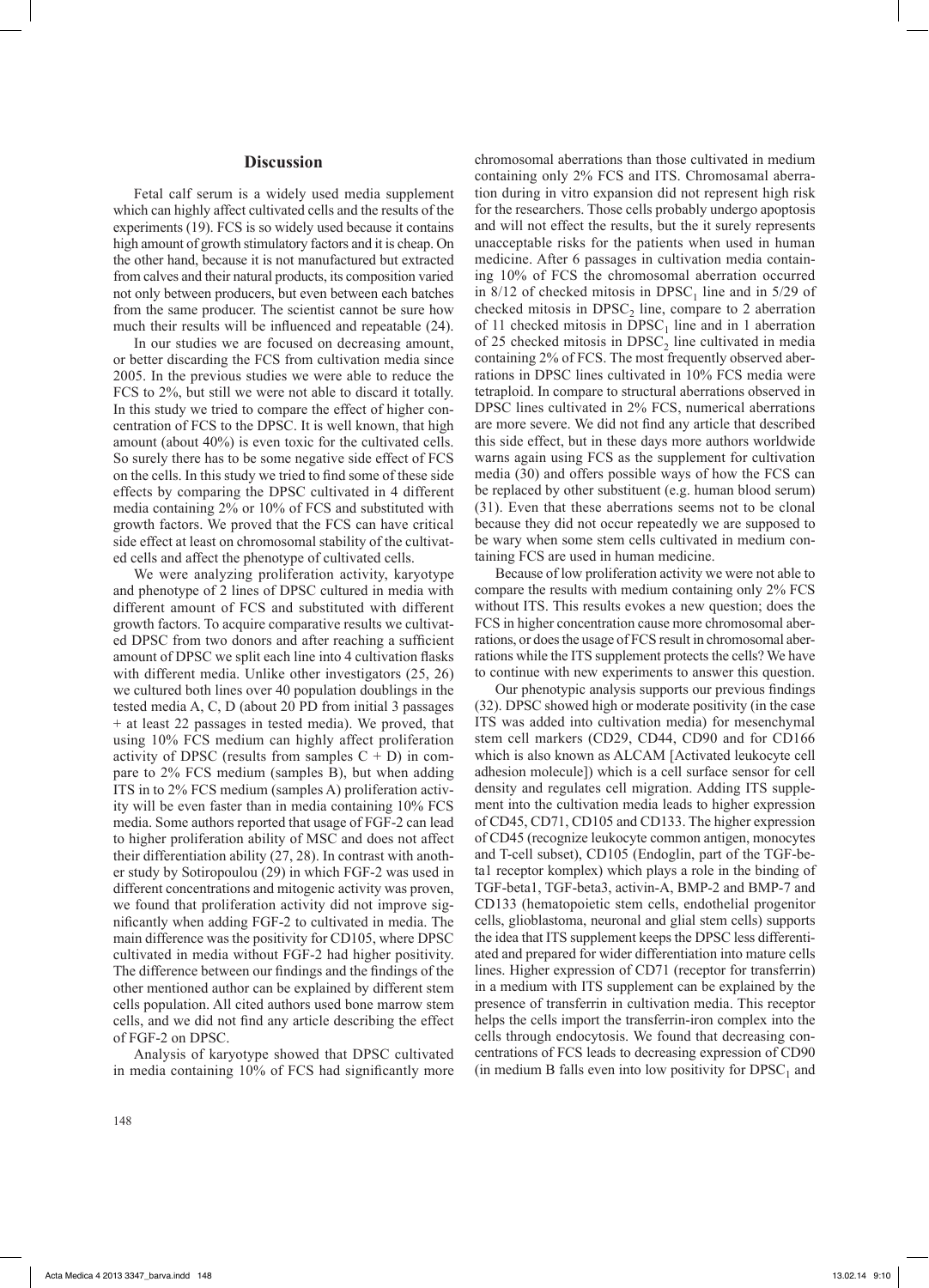## **Discussion**

Fetal calf serum is a widely used media supplement which can highly affect cultivated cells and the results of the experiments (19). FCS is so widely used because it contains high amount of growth stimulatory factors and it is cheap. On the other hand, because it is not manufactured but extracted from calves and their natural products, its composition varied not only between producers, but even between each batches from the same producer. The scientist cannot be sure how much their results will be influenced and repeatable (24).

In our studies we are focused on decreasing amount, or better discarding the FCS from cultivation media since 2005. In the previous studies we were able to reduce the FCS to 2%, but still we were not able to discard it totally. In this study we tried to compare the effect of higher concentration of FCS to the DPSC. It is well known, that high amount (about 40%) is even toxic for the cultivated cells. So surely there has to be some negative side effect of FCS on the cells. In this study we tried to find some of these side effects by comparing the DPSC cultivated in 4 different media containing 2% or 10% of FCS and substituted with growth factors. We proved that the FCS can have critical side effect at least on chromosomal stability of the cultivated cells and affect the phenotype of cultivated cells.

We were analyzing proliferation activity, karyotype and phenotype of 2 lines of DPSC cultured in media with different amount of FCS and substituted with different growth factors. To acquire comparative results we cultivated DPSC from two donors and after reaching a sufficient amount of DPSC we split each line into 4 cultivation flasks with different media. Unlike other investigators (25, 26) we cultured both lines over 40 population doublings in the tested media A, C, D (about 20 PD from initial 3 passages + at least 22 passages in tested media). We proved, that using 10% FCS medium can highly affect proliferation activity of DPSC (results from samples  $C + D$ ) in compare to 2% FCS medium (samples B), but when adding ITS in to 2% FCS medium (samples A) proliferation activity will be even faster than in media containing 10% FCS media. Some authors reported that usage of FGF-2 can lead to higher proliferation ability of MSC and does not affect their differentiation ability (27, 28). In contrast with another study by Sotiropoulou (29) in which FGF-2 was used in different concentrations and mitogenic activity was proven, we found that proliferation activity did not improve significantly when adding FGF-2 to cultivated in media. The main difference was the positivity for CD105, where DPSC cultivated in media without FGF-2 had higher positivity. The difference between our findings and the findings of the other mentioned author can be explained by different stem cells population. All cited authors used bone marrow stem cells, and we did not find any article describing the effect of FGF-2 on DPSC.

Analysis of karyotype showed that DPSC cultivated in media containing 10% of FCS had significantly more

chromosomal aberrations than those cultivated in medium containing only 2% FCS and ITS. Chromosamal aberration during in vitro expansion did not represent high risk for the researchers. Those cells probably undergo apoptosis and will not effect the results, but the it surely represents unacceptable risks for the patients when used in human medicine. After 6 passages in cultivation media containing 10% of FCS the chromosomal aberration occurred in  $8/12$  of checked mitosis in DPSC<sub>1</sub> line and in 5/29 of checked mitosis in  $DPSC<sub>2</sub>$  line, compare to 2 aberration of 11 checked mitosis in  $DPSC<sub>1</sub>$  line and in 1 aberration of 25 checked mitosis in  $DPSC<sub>2</sub>$  line cultivated in media containing 2% of FCS. The most frequently observed aberrations in DPSC lines cultivated in 10% FCS media were tetraploid. In compare to structural aberrations observed in DPSC lines cultivated in 2% FCS, numerical aberrations are more severe. We did not find any article that described this side effect, but in these days more authors worldwide warns again using FCS as the supplement for cultivation media (30) and offers possible ways of how the FCS can be replaced by other substituent (e.g. human blood serum) (31). Even that these aberrations seems not to be clonal because they did not occur repeatedly we are supposed to be wary when some stem cells cultivated in medium containing FCS are used in human medicine.

Because of low proliferation activity we were not able to compare the results with medium containing only 2% FCS without ITS. This results evokes a new question; does the FCS in higher concentration cause more chromosomal aberrations, or does the usage of FCS result in chromosomal aberrations while the ITS supplement protects the cells? We have to continue with new experiments to answer this question.

Our phenotypic analysis supports our previous findings (32). DPSC showed high or moderate positivity (in the case ITS was added into cultivation media) for mesenchymal stem cell markers (CD29, CD44, CD90 and for CD166 which is also known as ALCAM [Activated leukocyte cell adhesion molecule]) which is a cell surface sensor for cell density and regulates cell migration. Adding ITS supplement into the cultivation media leads to higher expression of CD45, CD71, CD105 and CD133. The higher expression of CD45 (recognize leukocyte common antigen, monocytes and T-cell subset), CD105 (Endoglin, part of the TGF-beta1 receptor komplex) which plays a role in the binding of TGF-beta1, TGF-beta3, activin-A, BMP-2 and BMP-7 and CD133 (hematopoietic stem cells, endothelial progenitor cells, glioblastoma, neuronal and glial stem cells) supports the idea that ITS supplement keeps the DPSC less differentiated and prepared for wider differentiation into mature cells lines. Higher expression of CD71 (receptor for transferrin) in a medium with ITS supplement can be explained by the presence of transferrin in cultivation media. This receptor helps the cells import the transferrin-iron complex into the cells through endocytosis. We found that decreasing concentrations of FCS leads to decreasing expression of CD90 (in medium B falls even into low positivity for  $DPSC<sub>1</sub>$  and